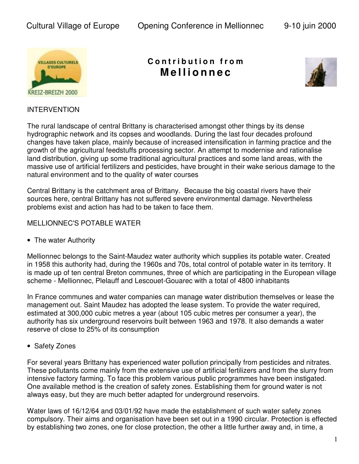

## **C o n t r i b u t i o n f r o m M e lli o n n e c**



## INTERVENTION

The rural landscape of central Brittany is characterised amongst other things by its dense hydrographic network and its copses and woodlands. During the last four decades profound changes have taken place, mainly because of increased intensification in farming practice and the growth of the agricultural feedstuffs processing sector. An attempt to modernise and rationalise land distribution, giving up some traditional agricultural practices and some land areas, with the massive use of artificial fertilizers and pesticides, have brought in their wake serious damage to the natural environment and to the quality of water courses

Central Brittany is the catchment area of Brittany. Because the big coastal rivers have their sources here, central Brittany has not suffered severe environmental damage. Nevertheless problems exist and action has had to be taken to face them.

## MELLIONNEC'S POTABLE WATER

• The water Authority

Mellionnec belongs to the Saint-Maudez water authority which supplies its potable water. Created in 1958 this authority had, during the 1960s and 70s, total control of potable water in its territory. It is made up of ten central Breton communes, three of which are participating in the European village scheme - Mellionnec, Plelauff and Lescouet-Gouarec with a total of 4800 inhabitants

In France communes and water companies can manage water distribution themselves or lease the management out. Saint Maudez has adopted the lease system. To provide the water required, estimated at 300,000 cubic metres a year (about 105 cubic metres per consumer a year), the authority has six underground reservoirs built between 1963 and 1978. It also demands a water reserve of close to 25% of its consumption

• Safety Zones

For several years Brittany has experienced water pollution principally from pesticides and nitrates. These pollutants come mainly from the extensive use of artificial fertilizers and from the slurry from intensive factory farming. To face this problem various public programmes have been instigated. One available method is the creation of safety zones. Establishing them for ground water is not always easy, but they are much better adapted for underground reservoirs.

Water laws of 16/12/64 and 03/01/92 have made the establishment of such water safety zones compulsory. Their aims and organisation have been set out in a 1990 circular. Protection is effected by establishing two zones, one for close protection, the other a little further away and, in time, a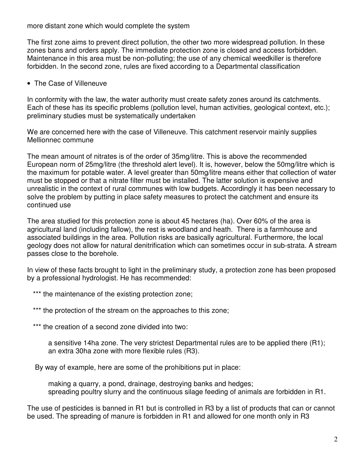more distant zone which would complete the system

The first zone aims to prevent direct pollution, the other two more widespread pollution. In these zones bans and orders apply. The immediate protection zone is closed and access forbidden. Maintenance in this area must be non-polluting; the use of any chemical weedkiller is therefore forbidden. In the second zone, rules are fixed according to a Departmental classification

• The Case of Villeneuve

In conformity with the law, the water authority must create safety zones around its catchments. Each of these has its specific problems (pollution level, human activities, geological context, etc.); preliminary studies must be systematically undertaken

We are concerned here with the case of Villeneuve. This catchment reservoir mainly supplies Mellionnec commune

The mean amount of nitrates is of the order of 35mg/litre. This is above the recommended European norm of 25mg/litre (the threshold alert level). It is, however, below the 50mg/litre which is the maximum for potable water. A level greater than 50mg/litre means either that collection of water must be stopped or that a nitrate filter must be installed. The latter solution is expensive and unrealistic in the context of rural communes with low budgets. Accordingly it has been necessary to solve the problem by putting in place safety measures to protect the catchment and ensure its continued use

The area studied for this protection zone is about 45 hectares (ha). Over 60% of the area is agricultural land (including fallow), the rest is woodland and heath. There is a farmhouse and associated buildings in the area. Pollution risks are basically agricultural. Furthermore, the local geology does not allow for natural denitrification which can sometimes occur in sub-strata. A stream passes close to the borehole.

In view of these facts brought to light in the preliminary study, a protection zone has been proposed by a professional hydrologist. He has recommended:

\*\*\* the maintenance of the existing protection zone;

\*\*\* the protection of the stream on the approaches to this zone;

\*\*\* the creation of a second zone divided into two:

a sensitive 14ha zone. The very strictest Departmental rules are to be applied there (R1); an extra 30ha zone with more flexible rules (R3).

By way of example, here are some of the prohibitions put in place:

making a quarry, a pond, drainage, destroying banks and hedges; spreading poultry slurry and the continuous silage feeding of animals are forbidden in R1.

The use of pesticides is banned in R1 but is controlled in R3 by a list of products that can or cannot be used. The spreading of manure is forbidden in R1 and allowed for one month only in R3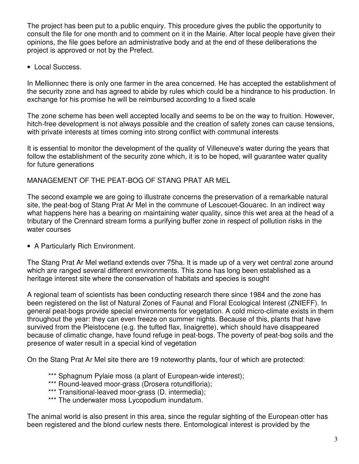The project has been put to a public enquiry. This procedure gives the public the opportunity to consult the file for one month and to comment on it in the Mairie. After local people have given their opinions, the file goes before an administrative body and at the end of these deliberations the project is approved or not by the Prefect.

• Local Success.

In Mellionnec there is only one farmer in the area concerned. He has accepted the establishment of the security zone and has agreed to abide by rules which could be a hindrance to his production. In exchange for his promise he will be reimbursed according to a fixed scale

The zone scheme has been well accepted locally and seems to be on the way to fruition. However, hitch-free development is not always possible and the creation of safety zones can cause tensions, with private interests at times coming into strong conflict with communal interests

It is essential to monitor the development of the quality of Villeneuve's water during the years that follow the establishment of the security zone which, it is to be hoped, will guarantee water quality for future generations

MANAGEMENT OF THE PEAT-BOG OF STANG PRAT AR MEL

The second example we are going to illustrate concerns the preservation of a remarkable natural site, the peat-bog of Stang Prat Ar Mel in the commune of Lescouet-Gouarec. In an indirect way what happens here has a bearing on maintaining water quality, since this wet area at the head of a tributary of the Crennard stream forms a purifying buffer zone in respect of pollution risks in the water courses

• A Particularly Rich Environment.

The Stang Prat Ar Mel wetland extends over 75ha. It is made up of a very wet central zone around which are ranged several different environments. This zone has long been established as a heritage interest site where the conservation of habitats and species is sought

A regional team of scientists has been conducting research there since 1984 and the zone has been registered on the list of Natural Zones of Faunal and Floral Ecological Interest (ZNIEFF). In general peat-bogs provide special environments for vegetation. A cold micro-climate exists in them throughout the year: they can even freeze on summer nights. Because of this, plants that have survived from the Pleistocene (e.g. the tufted flax, linaigrette), which should have disappeared because of climatic change, have found refuge in peat-bogs. The poverty of peat-bog soils and the presence of water result in a special kind of vegetation

On the Stang Prat Ar Mel site there are 19 noteworthy plants, four of which are protected:

- \*\*\* Sphagnum Pylaie moss (a plant of European-wide interest);
- \*\*\* Round-leaved moor-grass (Drosera rotundifloria);
- \*\*\* Transitional-leaved moor-grass (D. intermedia);
- \*\*\* The underwater moss Lycopodium inundatum.

The animal world is also present in this area, since the regular sighting of the European otter has been registered and the blond curlew nests there. Entomological interest is provided by the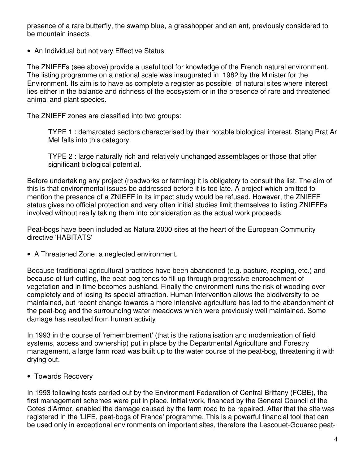presence of a rare butterfly, the swamp blue, a grasshopper and an ant, previously considered to be mountain insects

• An Individual but not very Effective Status

The ZNIEFFs (see above) provide a useful tool for knowledge of the French natural environment. The listing programme on a national scale was inaugurated in 1982 by the Minister for the Environment. Its aim is to have as complete a register as possible of natural sites where interest lies either in the balance and richness of the ecosystem or in the presence of rare and threatened animal and plant species.

The ZNIEFF zones are classified into two groups:

TYPE 1 : demarcated sectors characterised by their notable biological interest. Stang Prat Ar Mel falls into this category.

TYPE 2 : large naturally rich and relatively unchanged assemblages or those that offer significant biological potential.

Before undertaking any project (roadworks or farming) it is obligatory to consult the list. The aim of this is that environmental issues be addressed before it is too late. A project which omitted to mention the presence of a ZNIEFF in its impact study would be refused. However, the ZNIEFF status gives no official protection and very often initial studies limit themselves to listing ZNIEFFs involved without really taking them into consideration as the actual work proceeds

Peat-bogs have been included as Natura 2000 sites at the heart of the European Community directive 'HABITATS'

• A Threatened Zone: a neglected environment.

Because traditional agricultural practices have been abandoned (e.g. pasture, reaping, etc.) and because of turf-cutting, the peat-bog tends to fill up through progressive encroachment of vegetation and in time becomes bushland. Finally the environment runs the risk of wooding over completely and of losing its special attraction. Human intervention allows the biodiversity to be maintained, but recent change towards a more intensive agriculture has led to the abandonment of the peat-bog and the surrounding water meadows which were previously well maintained. Some damage has resulted from human activity

In 1993 in the course of 'remembrement' (that is the rationalisation and modernisation of field systems, access and ownership) put in place by the Departmental Agriculture and Forestry management, a large farm road was built up to the water course of the peat-bog, threatening it with drying out.

• Towards Recovery

In 1993 following tests carried out by the Environment Federation of Central Brittany (FCBE), the first management schemes were put in place. Initial work, financed by the General Council of the Cotes d'Armor, enabled the damage caused by the farm road to be repaired. After that the site was registered in the 'LIFE, peat-bogs of France' programme. This is a powerful financial tool that can be used only in exceptional environments on important sites, therefore the Lescouet-Gouarec peat